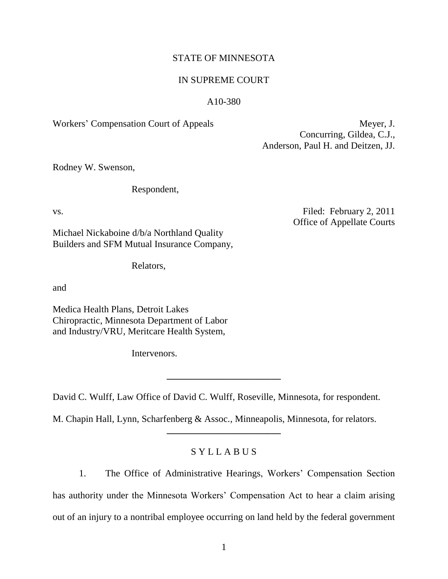# STATE OF MINNESOTA

# IN SUPREME COURT

# A10-380

Workers' Compensation Court of Appeals Meyer, J.

Concurring, Gildea, C.J., Anderson, Paul H. and Deitzen, JJ.

Rodney W. Swenson,

Respondent,

vs. Filed: February 2, 2011 Office of Appellate Courts

Michael Nickaboine d/b/a Northland Quality Builders and SFM Mutual Insurance Company,

Relators,

and

Medica Health Plans, Detroit Lakes Chiropractic, Minnesota Department of Labor and Industry/VRU, Meritcare Health System,

Intervenors.

David C. Wulff, Law Office of David C. Wulff, Roseville, Minnesota, for respondent.

**\_\_\_\_\_\_\_\_\_\_\_\_\_\_\_\_\_\_\_\_\_\_\_\_**

M. Chapin Hall, Lynn, Scharfenberg & Assoc., Minneapolis, Minnesota, for relators.

# S Y L L A B U S

**\_\_\_\_\_\_\_\_\_\_\_\_\_\_\_\_\_\_\_\_\_\_\_\_**

1. The Office of Administrative Hearings, Workers' Compensation Section has authority under the Minnesota Workers' Compensation Act to hear a claim arising out of an injury to a nontribal employee occurring on land held by the federal government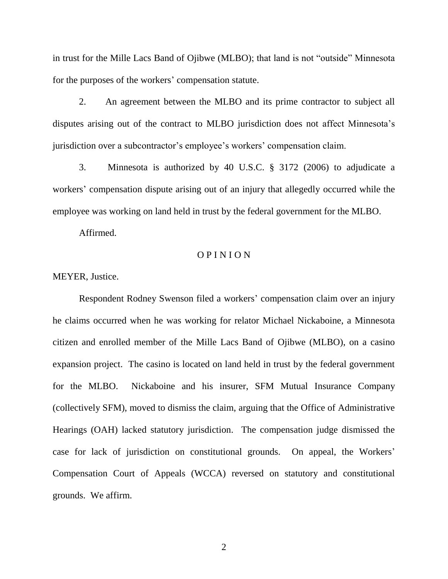in trust for the Mille Lacs Band of Ojibwe (MLBO); that land is not "outside" Minnesota for the purposes of the workers' compensation statute.

2. An agreement between the MLBO and its prime contractor to subject all disputes arising out of the contract to MLBO jurisdiction does not affect Minnesota's jurisdiction over a subcontractor's employee's workers' compensation claim.

3. Minnesota is authorized by 40 U.S.C. § 3172 (2006) to adjudicate a workers' compensation dispute arising out of an injury that allegedly occurred while the employee was working on land held in trust by the federal government for the MLBO.

Affirmed.

# O P I N I O N

MEYER, Justice.

Respondent Rodney Swenson filed a workers' compensation claim over an injury he claims occurred when he was working for relator Michael Nickaboine, a Minnesota citizen and enrolled member of the Mille Lacs Band of Ojibwe (MLBO), on a casino expansion project. The casino is located on land held in trust by the federal government for the MLBO. Nickaboine and his insurer, SFM Mutual Insurance Company (collectively SFM), moved to dismiss the claim, arguing that the Office of Administrative Hearings (OAH) lacked statutory jurisdiction. The compensation judge dismissed the case for lack of jurisdiction on constitutional grounds. On appeal, the Workers' Compensation Court of Appeals (WCCA) reversed on statutory and constitutional grounds. We affirm.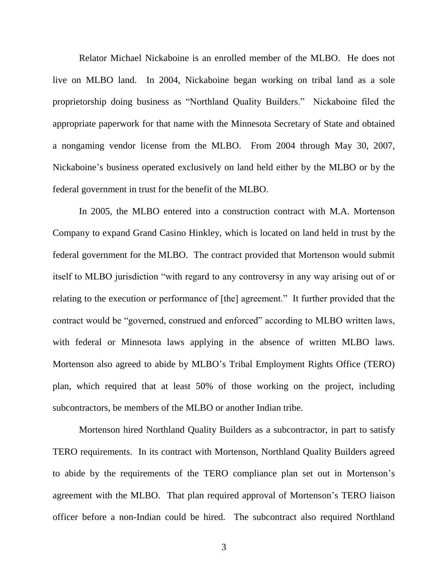Relator Michael Nickaboine is an enrolled member of the MLBO. He does not live on MLBO land. In 2004, Nickaboine began working on tribal land as a sole proprietorship doing business as "Northland Quality Builders." Nickaboine filed the appropriate paperwork for that name with the Minnesota Secretary of State and obtained a nongaming vendor license from the MLBO. From 2004 through May 30, 2007, Nickaboine"s business operated exclusively on land held either by the MLBO or by the federal government in trust for the benefit of the MLBO.

In 2005, the MLBO entered into a construction contract with M.A. Mortenson Company to expand Grand Casino Hinkley, which is located on land held in trust by the federal government for the MLBO. The contract provided that Mortenson would submit itself to MLBO jurisdiction "with regard to any controversy in any way arising out of or relating to the execution or performance of [the] agreement." It further provided that the contract would be "governed, construed and enforced" according to MLBO written laws, with federal or Minnesota laws applying in the absence of written MLBO laws. Mortenson also agreed to abide by MLBO"s Tribal Employment Rights Office (TERO) plan, which required that at least 50% of those working on the project, including subcontractors, be members of the MLBO or another Indian tribe.

Mortenson hired Northland Quality Builders as a subcontractor, in part to satisfy TERO requirements. In its contract with Mortenson, Northland Quality Builders agreed to abide by the requirements of the TERO compliance plan set out in Mortenson"s agreement with the MLBO. That plan required approval of Mortenson"s TERO liaison officer before a non-Indian could be hired. The subcontract also required Northland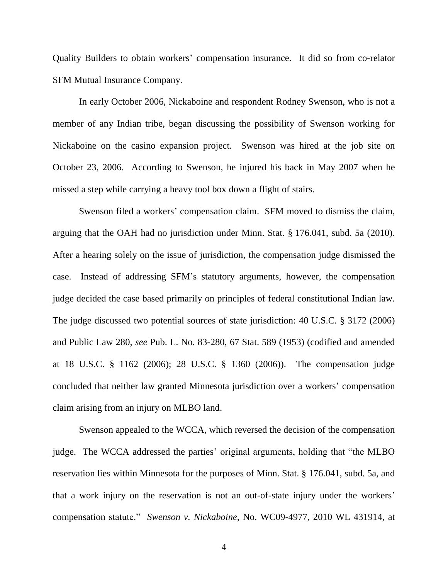Quality Builders to obtain workers" compensation insurance. It did so from co-relator SFM Mutual Insurance Company.

In early October 2006, Nickaboine and respondent Rodney Swenson, who is not a member of any Indian tribe, began discussing the possibility of Swenson working for Nickaboine on the casino expansion project. Swenson was hired at the job site on October 23, 2006. According to Swenson, he injured his back in May 2007 when he missed a step while carrying a heavy tool box down a flight of stairs.

Swenson filed a workers' compensation claim. SFM moved to dismiss the claim, arguing that the OAH had no jurisdiction under Minn. Stat. § 176.041, subd. 5a (2010). After a hearing solely on the issue of jurisdiction, the compensation judge dismissed the case. Instead of addressing SFM"s statutory arguments, however, the compensation judge decided the case based primarily on principles of federal constitutional Indian law. The judge discussed two potential sources of state jurisdiction: 40 U.S.C. § 3172 (2006) and Public Law 280, *see* Pub. L. No. 83-280, 67 Stat. 589 (1953) (codified and amended at 18 U.S.C. § 1162 (2006); 28 U.S.C. § 1360 (2006)). The compensation judge concluded that neither law granted Minnesota jurisdiction over a workers" compensation claim arising from an injury on MLBO land.

Swenson appealed to the WCCA, which reversed the decision of the compensation judge. The WCCA addressed the parties' original arguments, holding that "the MLBO reservation lies within Minnesota for the purposes of Minn. Stat. § 176.041, subd. 5a, and that a work injury on the reservation is not an out-of-state injury under the workers" compensation statute." *Swenson v. Nickaboine*, No. WC09-4977, 2010 WL 431914, at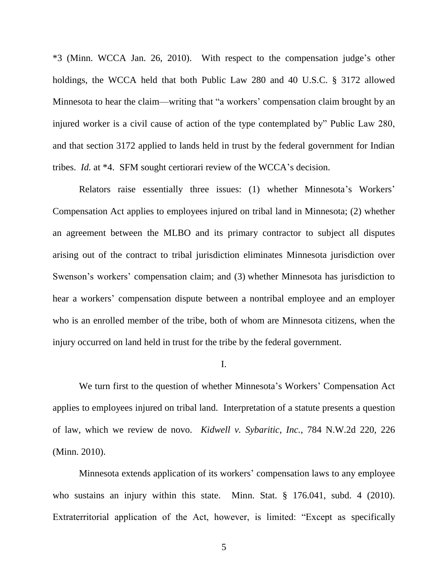\*3 (Minn. WCCA Jan. 26, 2010). With respect to the compensation judge"s other holdings, the WCCA held that both Public Law 280 and 40 U.S.C. § 3172 allowed Minnesota to hear the claim—writing that "a workers' compensation claim brought by an injured worker is a civil cause of action of the type contemplated by" Public Law 280, and that section 3172 applied to lands held in trust by the federal government for Indian tribes. *Id.* at \*4. SFM sought certiorari review of the WCCA"s decision.

Relators raise essentially three issues: (1) whether Minnesota's Workers' Compensation Act applies to employees injured on tribal land in Minnesota; (2) whether an agreement between the MLBO and its primary contractor to subject all disputes arising out of the contract to tribal jurisdiction eliminates Minnesota jurisdiction over Swenson's workers' compensation claim; and (3) whether Minnesota has jurisdiction to hear a workers' compensation dispute between a nontribal employee and an employer who is an enrolled member of the tribe, both of whom are Minnesota citizens, when the injury occurred on land held in trust for the tribe by the federal government.

### I.

We turn first to the question of whether Minnesota's Workers' Compensation Act applies to employees injured on tribal land. Interpretation of a statute presents a question of law, which we review de novo. *Kidwell v. Sybaritic, Inc.*, 784 N.W.2d 220, 226 (Minn. 2010).

Minnesota extends application of its workers" compensation laws to any employee who sustains an injury within this state. Minn. Stat. § 176.041, subd. 4 (2010). Extraterritorial application of the Act, however, is limited: "Except as specifically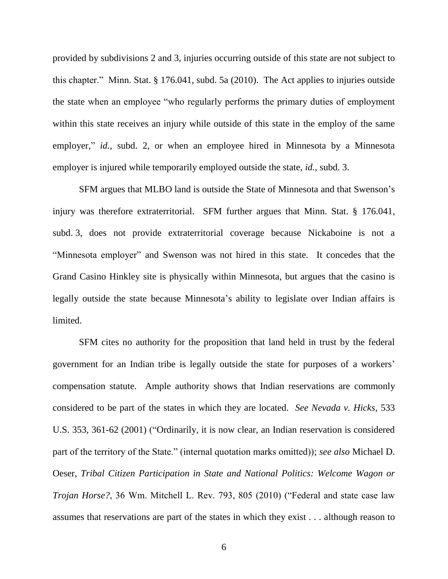provided by subdivisions 2 and 3, injuries occurring outside of this state are not subject to this chapter." Minn. Stat. § 176.041, subd. 5a (2010). The Act applies to injuries outside the state when an employee "who regularly performs the primary duties of employment within this state receives an injury while outside of this state in the employ of the same employer," *id.*, subd. 2, or when an employee hired in Minnesota by a Minnesota employer is injured while temporarily employed outside the state, *id.*, subd. 3.

SFM argues that MLBO land is outside the State of Minnesota and that Swenson"s injury was therefore extraterritorial. SFM further argues that Minn. Stat. § 176.041, subd. 3, does not provide extraterritorial coverage because Nickaboine is not a "Minnesota employer" and Swenson was not hired in this state. It concedes that the Grand Casino Hinkley site is physically within Minnesota, but argues that the casino is legally outside the state because Minnesota's ability to legislate over Indian affairs is limited.

SFM cites no authority for the proposition that land held in trust by the federal government for an Indian tribe is legally outside the state for purposes of a workers" compensation statute. Ample authority shows that Indian reservations are commonly considered to be part of the states in which they are located. *See Nevada v. Hicks*, 533 U.S. 353, 361-62 (2001) ("Ordinarily, it is now clear, an Indian reservation is considered part of the territory of the State." (internal quotation marks omitted)); *see also* Michael D. Oeser, *Tribal Citizen Participation in State and National Politics: Welcome Wagon or Trojan Horse?*, 36 Wm. Mitchell L. Rev. 793, 805 (2010) ("Federal and state case law assumes that reservations are part of the states in which they exist . . . although reason to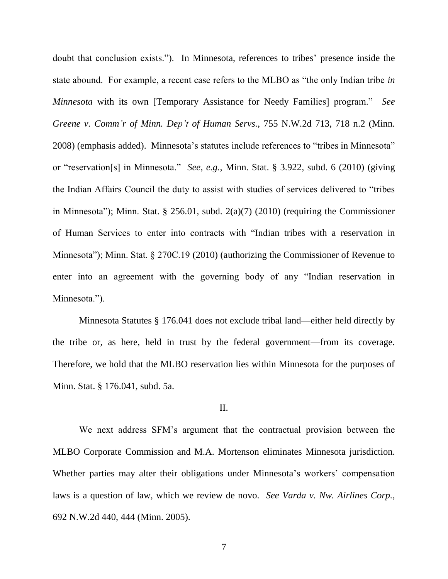doubt that conclusion exists."). In Minnesota, references to tribes' presence inside the state abound. For example, a recent case refers to the MLBO as "the only Indian tribe *in Minnesota* with its own [Temporary Assistance for Needy Families] program." *See Greene v. Comm'r of Minn. Dep't of Human Servs.*, 755 N.W.2d 713, 718 n.2 (Minn. 2008) (emphasis added). Minnesota's statutes include references to "tribes in Minnesota" or "reservation[s] in Minnesota." *See, e.g.*, Minn. Stat. § 3.922, subd. 6 (2010) (giving the Indian Affairs Council the duty to assist with studies of services delivered to "tribes in Minnesota"); Minn. Stat. § 256.01, subd. 2(a)(7) (2010) (requiring the Commissioner of Human Services to enter into contracts with "Indian tribes with a reservation in Minnesota"); Minn. Stat. § 270C.19 (2010) (authorizing the Commissioner of Revenue to enter into an agreement with the governing body of any "Indian reservation in Minnesota.").

Minnesota Statutes § 176.041 does not exclude tribal land—either held directly by the tribe or, as here, held in trust by the federal government—from its coverage. Therefore, we hold that the MLBO reservation lies within Minnesota for the purposes of Minn. Stat. § 176.041, subd. 5a.

## II.

We next address SFM"s argument that the contractual provision between the MLBO Corporate Commission and M.A. Mortenson eliminates Minnesota jurisdiction. Whether parties may alter their obligations under Minnesota's workers' compensation laws is a question of law, which we review de novo. *See Varda v. Nw. Airlines Corp.*, 692 N.W.2d 440, 444 (Minn. 2005).

7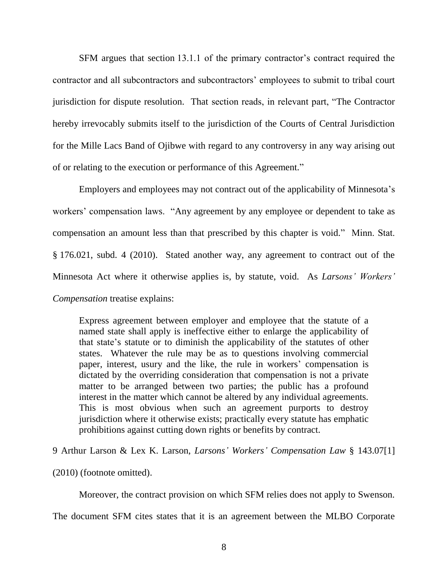SFM argues that section 13.1.1 of the primary contractor's contract required the contractor and all subcontractors and subcontractors" employees to submit to tribal court jurisdiction for dispute resolution. That section reads, in relevant part, "The Contractor hereby irrevocably submits itself to the jurisdiction of the Courts of Central Jurisdiction for the Mille Lacs Band of Ojibwe with regard to any controversy in any way arising out of or relating to the execution or performance of this Agreement."

Employers and employees may not contract out of the applicability of Minnesota"s workers' compensation laws. "Any agreement by any employee or dependent to take as compensation an amount less than that prescribed by this chapter is void." Minn. Stat. § 176.021, subd. 4 (2010). Stated another way, any agreement to contract out of the Minnesota Act where it otherwise applies is, by statute, void. As *Larsons' Workers' Compensation* treatise explains:

Express agreement between employer and employee that the statute of a named state shall apply is ineffective either to enlarge the applicability of that state"s statute or to diminish the applicability of the statutes of other states. Whatever the rule may be as to questions involving commercial paper, interest, usury and the like, the rule in workers' compensation is dictated by the overriding consideration that compensation is not a private matter to be arranged between two parties; the public has a profound interest in the matter which cannot be altered by any individual agreements. This is most obvious when such an agreement purports to destroy jurisdiction where it otherwise exists; practically every statute has emphatic prohibitions against cutting down rights or benefits by contract.

9 Arthur Larson & Lex K. Larson, *Larsons' Workers' Compensation Law* § 143.07[1]

(2010) (footnote omitted).

Moreover, the contract provision on which SFM relies does not apply to Swenson.

The document SFM cites states that it is an agreement between the MLBO Corporate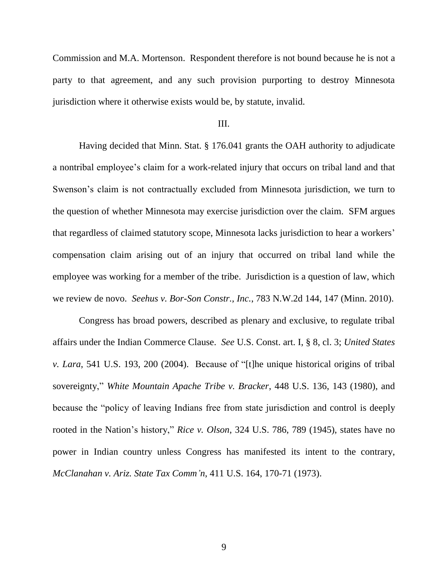Commission and M.A. Mortenson. Respondent therefore is not bound because he is not a party to that agreement, and any such provision purporting to destroy Minnesota jurisdiction where it otherwise exists would be, by statute, invalid.

### III.

Having decided that Minn. Stat. § 176.041 grants the OAH authority to adjudicate a nontribal employee"s claim for a work-related injury that occurs on tribal land and that Swenson"s claim is not contractually excluded from Minnesota jurisdiction, we turn to the question of whether Minnesota may exercise jurisdiction over the claim. SFM argues that regardless of claimed statutory scope, Minnesota lacks jurisdiction to hear a workers" compensation claim arising out of an injury that occurred on tribal land while the employee was working for a member of the tribe. Jurisdiction is a question of law, which we review de novo. *Seehus v. Bor-Son Constr., Inc.*, 783 N.W.2d 144, 147 (Minn. 2010).

Congress has broad powers, described as plenary and exclusive, to regulate tribal affairs under the Indian Commerce Clause. *See* U.S. Const. art. I, § 8, cl. 3; *United States v. Lara*, 541 U.S. 193, 200 (2004). Because of "[t]he unique historical origins of tribal sovereignty," *White Mountain Apache Tribe v. Bracker*, 448 U.S. 136, 143 (1980), and because the "policy of leaving Indians free from state jurisdiction and control is deeply rooted in the Nation"s history," *Rice v. Olson*, 324 U.S. 786, 789 (1945), states have no power in Indian country unless Congress has manifested its intent to the contrary, *McClanahan v. Ariz. State Tax Comm'n*, 411 U.S. 164, 170-71 (1973).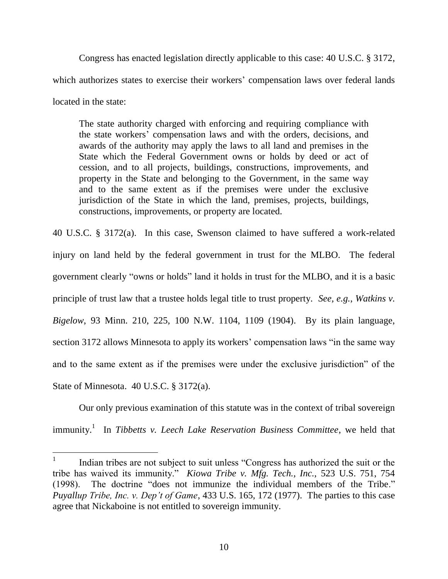Congress has enacted legislation directly applicable to this case: 40 U.S.C. § 3172, which authorizes states to exercise their workers' compensation laws over federal lands located in the state:

The state authority charged with enforcing and requiring compliance with the state workers" compensation laws and with the orders, decisions, and awards of the authority may apply the laws to all land and premises in the State which the Federal Government owns or holds by deed or act of cession, and to all projects, buildings, constructions, improvements, and property in the State and belonging to the Government, in the same way and to the same extent as if the premises were under the exclusive jurisdiction of the State in which the land, premises, projects, buildings, constructions, improvements, or property are located.

40 U.S.C. § 3172(a). In this case, Swenson claimed to have suffered a work-related injury on land held by the federal government in trust for the MLBO. The federal government clearly "owns or holds" land it holds in trust for the MLBO, and it is a basic principle of trust law that a trustee holds legal title to trust property. *See, e.g.*, *Watkins v. Bigelow*, 93 Minn. 210, 225, 100 N.W. 1104, 1109 (1904). By its plain language, section 3172 allows Minnesota to apply its workers' compensation laws "in the same way and to the same extent as if the premises were under the exclusive jurisdiction" of the State of Minnesota. 40 U.S.C. § 3172(a).

Our only previous examination of this statute was in the context of tribal sovereign immunity.<sup>1</sup> In *Tibbetts v. Leech Lake Reservation Business Committee*, we held that

 $\overline{a}$ 

<sup>1</sup> Indian tribes are not subject to suit unless "Congress has authorized the suit or the tribe has waived its immunity." *Kiowa Tribe v. Mfg. Tech., Inc.*, 523 U.S. 751, 754 (1998). The doctrine "does not immunize the individual members of the Tribe." *Puyallup Tribe, Inc. v. Dep't of Game*, 433 U.S. 165, 172 (1977). The parties to this case agree that Nickaboine is not entitled to sovereign immunity.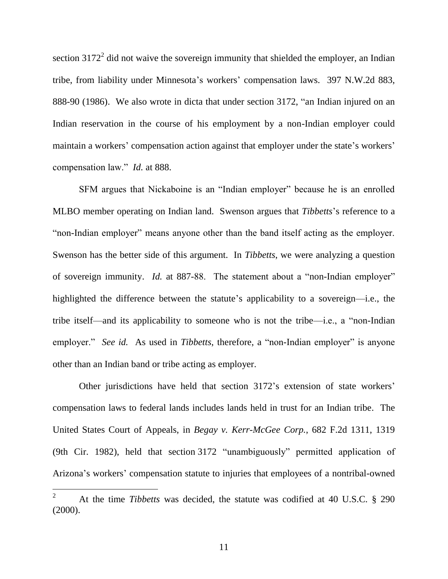section  $3172^2$  did not waive the sovereign immunity that shielded the employer, an Indian tribe, from liability under Minnesota's workers' compensation laws. 397 N.W.2d 883, 888-90 (1986). We also wrote in dicta that under section 3172, "an Indian injured on an Indian reservation in the course of his employment by a non-Indian employer could maintain a workers' compensation action against that employer under the state's workers' compensation law." *Id.* at 888.

SFM argues that Nickaboine is an "Indian employer" because he is an enrolled MLBO member operating on Indian land. Swenson argues that *Tibbetts*"s reference to a "non-Indian employer" means anyone other than the band itself acting as the employer. Swenson has the better side of this argument. In *Tibbetts*, we were analyzing a question of sovereign immunity. *Id.* at 887-88. The statement about a "non-Indian employer" highlighted the difference between the statute's applicability to a sovereign—i.e., the tribe itself—and its applicability to someone who is not the tribe—i.e., a "non-Indian employer." *See id.* As used in *Tibbetts*, therefore, a "non-Indian employer" is anyone other than an Indian band or tribe acting as employer.

Other jurisdictions have held that section 3172"s extension of state workers" compensation laws to federal lands includes lands held in trust for an Indian tribe. The United States Court of Appeals, in *Begay v. Kerr-McGee Corp.*, 682 F.2d 1311, 1319 (9th Cir. 1982), held that section 3172 "unambiguously" permitted application of Arizona's workers' compensation statute to injuries that employees of a nontribal-owned

<sup>2</sup> At the time *Tibbetts* was decided, the statute was codified at 40 U.S.C. § 290 (2000).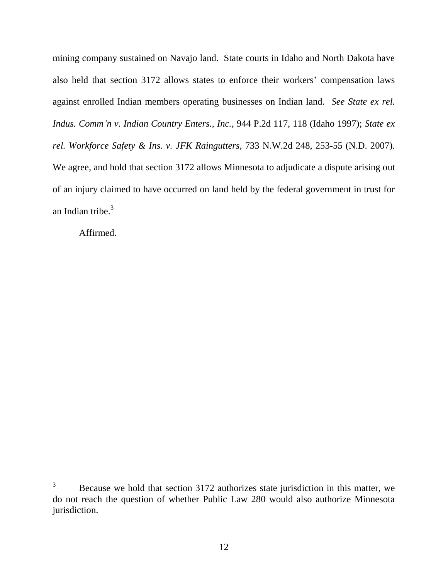mining company sustained on Navajo land. State courts in Idaho and North Dakota have also held that section 3172 allows states to enforce their workers' compensation laws against enrolled Indian members operating businesses on Indian land. *See State ex rel. Indus. Comm'n v. Indian Country Enters., Inc.*, 944 P.2d 117, 118 (Idaho 1997); *State ex rel. Workforce Safety & Ins. v. JFK Raingutters*, 733 N.W.2d 248, 253-55 (N.D. 2007). We agree, and hold that section 3172 allows Minnesota to adjudicate a dispute arising out of an injury claimed to have occurred on land held by the federal government in trust for an Indian tribe.<sup>3</sup>

Affirmed.

 $\overline{3}$ <sup>3</sup> Because we hold that section 3172 authorizes state jurisdiction in this matter, we do not reach the question of whether Public Law 280 would also authorize Minnesota jurisdiction.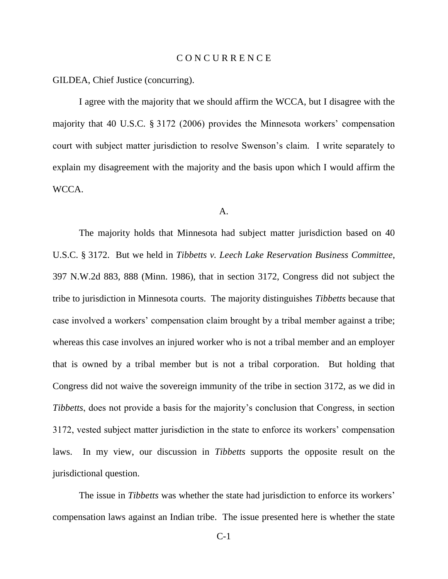### C O N C U R R E N C E

GILDEA, Chief Justice (concurring).

I agree with the majority that we should affirm the WCCA, but I disagree with the majority that 40 U.S.C. § 3172 (2006) provides the Minnesota workers" compensation court with subject matter jurisdiction to resolve Swenson"s claim. I write separately to explain my disagreement with the majority and the basis upon which I would affirm the WCCA.

### A.

The majority holds that Minnesota had subject matter jurisdiction based on 40 U.S.C. § 3172. But we held in *Tibbetts v. Leech Lake Reservation Business Committee*, 397 N.W.2d 883, 888 (Minn. 1986), that in section 3172, Congress did not subject the tribe to jurisdiction in Minnesota courts. The majority distinguishes *Tibbetts* because that case involved a workers' compensation claim brought by a tribal member against a tribe; whereas this case involves an injured worker who is not a tribal member and an employer that is owned by a tribal member but is not a tribal corporation. But holding that Congress did not waive the sovereign immunity of the tribe in section 3172, as we did in *Tibbetts*, does not provide a basis for the majority's conclusion that Congress, in section 3172, vested subject matter jurisdiction in the state to enforce its workers" compensation laws. In my view, our discussion in *Tibbetts* supports the opposite result on the jurisdictional question.

The issue in *Tibbetts* was whether the state had jurisdiction to enforce its workers' compensation laws against an Indian tribe. The issue presented here is whether the state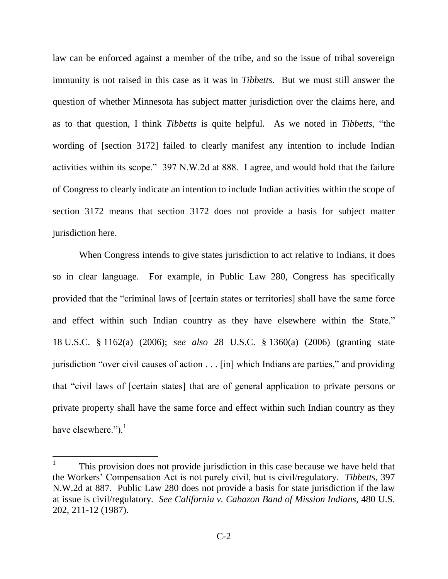law can be enforced against a member of the tribe, and so the issue of tribal sovereign immunity is not raised in this case as it was in *Tibbetts*. But we must still answer the question of whether Minnesota has subject matter jurisdiction over the claims here, and as to that question, I think *Tibbetts* is quite helpful. As we noted in *Tibbetts*, "the wording of [section 3172] failed to clearly manifest any intention to include Indian activities within its scope." 397 N.W.2d at 888. I agree, and would hold that the failure of Congress to clearly indicate an intention to include Indian activities within the scope of section 3172 means that section 3172 does not provide a basis for subject matter jurisdiction here.

When Congress intends to give states jurisdiction to act relative to Indians, it does so in clear language. For example, in Public Law 280, Congress has specifically provided that the "criminal laws of [certain states or territories] shall have the same force and effect within such Indian country as they have elsewhere within the State." 18 U.S.C. § 1162(a) (2006); *see also* 28 U.S.C. § 1360(a) (2006) (granting state jurisdiction "over civil causes of action . . . [in] which Indians are parties," and providing that "civil laws of [certain states] that are of general application to private persons or private property shall have the same force and effect within such Indian country as they have elsewhere."). $<sup>1</sup>$ </sup>

<sup>1</sup> This provision does not provide jurisdiction in this case because we have held that the Workers" Compensation Act is not purely civil, but is civil/regulatory. *Tibbetts*, 397 N.W.2d at 887. Public Law 280 does not provide a basis for state jurisdiction if the law at issue is civil/regulatory. *See California v. Cabazon Band of Mission Indians*, 480 U.S. 202, 211-12 (1987).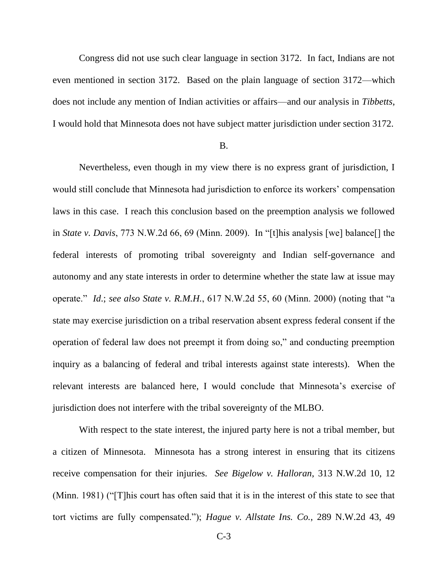Congress did not use such clear language in section 3172. In fact, Indians are not even mentioned in section 3172. Based on the plain language of section 3172—which does not include any mention of Indian activities or affairs—and our analysis in *Tibbetts*, I would hold that Minnesota does not have subject matter jurisdiction under section 3172.

#### B.

Nevertheless, even though in my view there is no express grant of jurisdiction, I would still conclude that Minnesota had jurisdiction to enforce its workers' compensation laws in this case. I reach this conclusion based on the preemption analysis we followed in *State v. Davis*, 773 N.W.2d 66, 69 (Minn. 2009). In "[t]his analysis [we] balance[] the federal interests of promoting tribal sovereignty and Indian self-governance and autonomy and any state interests in order to determine whether the state law at issue may operate." *Id*.; *see also State v. R.M.H.*, 617 N.W.2d 55, 60 (Minn. 2000) (noting that "a state may exercise jurisdiction on a tribal reservation absent express federal consent if the operation of federal law does not preempt it from doing so," and conducting preemption inquiry as a balancing of federal and tribal interests against state interests). When the relevant interests are balanced here, I would conclude that Minnesota"s exercise of jurisdiction does not interfere with the tribal sovereignty of the MLBO.

With respect to the state interest, the injured party here is not a tribal member, but a citizen of Minnesota. Minnesota has a strong interest in ensuring that its citizens receive compensation for their injuries. *See Bigelow v. Halloran*, 313 N.W.2d 10, 12 (Minn. 1981) ("[T]his court has often said that it is in the interest of this state to see that tort victims are fully compensated."); *Hague v. Allstate Ins. Co.*, 289 N.W.2d 43, 49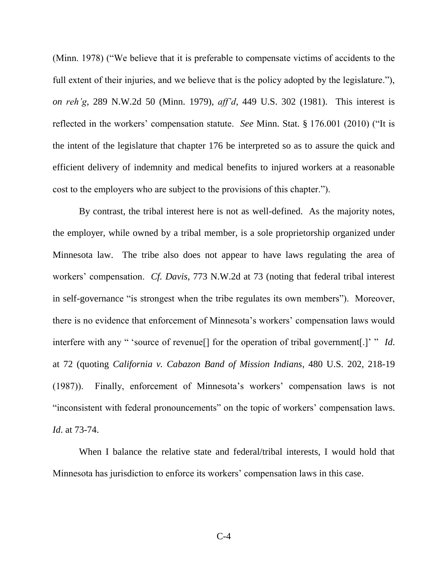(Minn. 1978) ("We believe that it is preferable to compensate victims of accidents to the full extent of their injuries, and we believe that is the policy adopted by the legislature."), *on reh'g*, 289 N.W.2d 50 (Minn. 1979), *aff'd*, 449 U.S. 302 (1981). This interest is reflected in the workers" compensation statute. *See* Minn. Stat. § 176.001 (2010) ("It is the intent of the legislature that chapter 176 be interpreted so as to assure the quick and efficient delivery of indemnity and medical benefits to injured workers at a reasonable cost to the employers who are subject to the provisions of this chapter.").

By contrast, the tribal interest here is not as well-defined. As the majority notes, the employer, while owned by a tribal member, is a sole proprietorship organized under Minnesota law. The tribe also does not appear to have laws regulating the area of workers" compensation. *Cf. Davis*, 773 N.W.2d at 73 (noting that federal tribal interest in self-governance "is strongest when the tribe regulates its own members"). Moreover, there is no evidence that enforcement of Minnesota"s workers" compensation laws would interfere with any " 'source of revenue<sup>[]</sup> for the operation of tribal government[.]" " *Id*. at 72 (quoting *California v. Cabazon Band of Mission Indians*, 480 U.S. 202, 218-19 (1987)). Finally, enforcement of Minnesota"s workers" compensation laws is not "inconsistent with federal pronouncements" on the topic of workers' compensation laws. *Id*. at 73-74.

When I balance the relative state and federal/tribal interests, I would hold that Minnesota has jurisdiction to enforce its workers' compensation laws in this case.